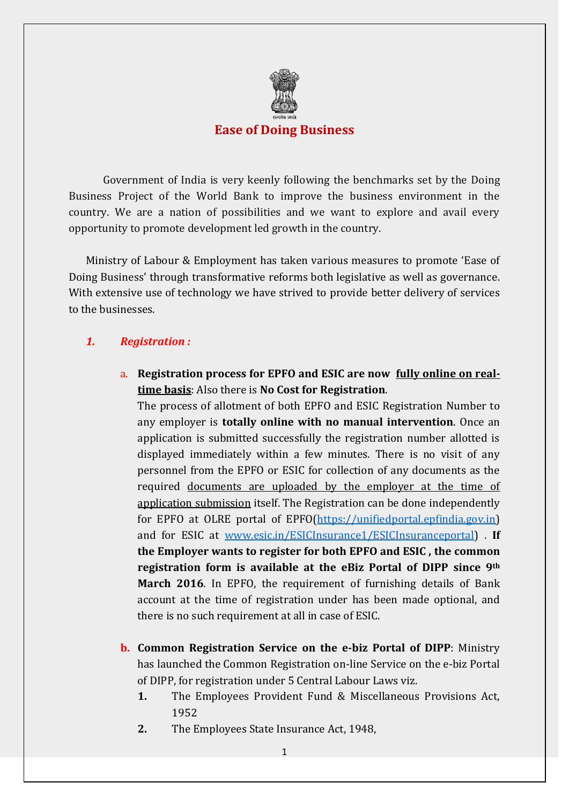

### **Ease of Doing Business**

Government of India is very keenly following the benchmarks set by the Doing Business Project of the World Bank to improve the business environment in the country. We are a nation of possibilities and we want to explore and avail every opportunity to promote development led growth in the country.

Ministry of Labour & Employment has taken various measures to promote 'Ease of Doing Business' through transformative reforms both legislative as well as governance. With extensive use of technology we have strived to provide better delivery of services to the businesses.

## *1. Registration :*

a. **Registration process for EPFO and ESIC are now fully online on realtime basis**: Also there is **No Cost for Registration**.

The process of allotment of both EPFO and ESIC Registration Number to any employer is **totally online with no manual intervention**. Once an application is submitted successfully the registration number allotted is displayed immediately within a few minutes. There is no visit of any personnel from the EPFO or ESIC for collection of any documents as the required documents are uploaded by the employer at the time of application submission itself. The Registration can be done independently for EPFO at OLRE portal of EPFO[\(https://unifiedportal.epfindia.gov.in\)](https://unifiedportal.epfindia.gov.in/) and for ESIC at [www.esic.in/ESICInsurance1/ESICInsuranceportal\)](http://www.esic.in/ESICInsurance1/ESICInsuranceportal) . **If the Employer wants to register for both EPFO and ESIC , the common registration form is available at the eBiz Portal of DIPP since 9th March 2016**. In EPFO, the requirement of furnishing details of Bank account at the time of registration under has been made optional, and there is no such requirement at all in case of ESIC.

- **b. Common Registration Service on the e-biz Portal of DIPP**: Ministry has launched the Common Registration on-line Service on the e-biz Portal of DIPP, for registration under 5 Central Labour Laws viz.
	- **1.** The Employees Provident Fund & Miscellaneous Provisions Act, 1952
	- **2.** The Employees State Insurance Act, 1948,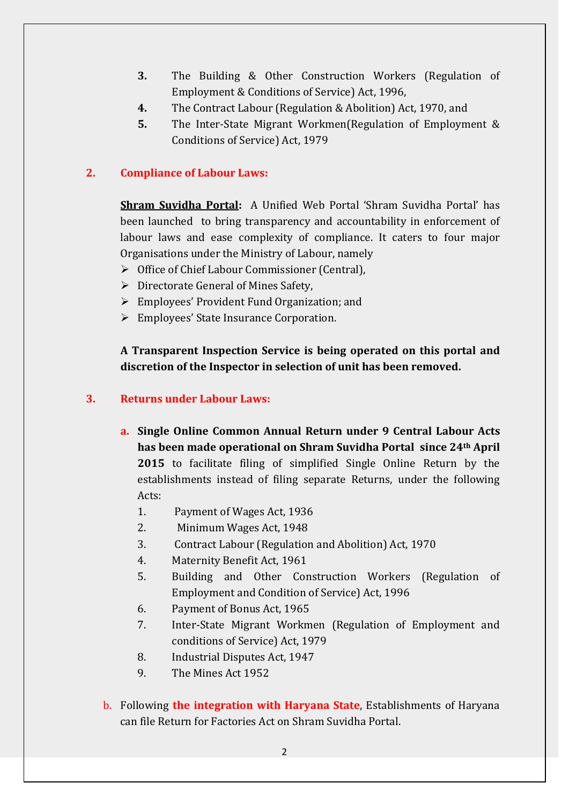- **3.** The Building & Other Construction Workers (Regulation of Employment & Conditions of Service) Act, 1996,
- **4.** The Contract Labour (Regulation & Abolition) Act, 1970, and
- **5.** The Inter-State Migrant Workmen(Regulation of Employment & Conditions of Service) Act, 1979

# **2. Compliance of Labour Laws:**

**Shram Suvidha Portal:** A Unified Web Portal 'Shram Suvidha Portal' has been launched to bring transparency and accountability in enforcement of labour laws and ease complexity of compliance. It caters to four major Organisations under the Ministry of Labour, namely

- Office of Chief Labour Commissioner (Central),
- $\triangleright$  Directorate General of Mines Safety,
- Employees' Provident Fund Organization; and
- Employees' State Insurance Corporation.

**A Transparent Inspection Service is being operated on this portal and discretion of the Inspector in selection of unit has been removed.** 

## **3. Returns under Labour Laws:**

- **a. Single Online Common Annual Return under 9 Central Labour Acts has been made operational on Shram Suvidha Portal since 24th April 2015** to facilitate filing of simplified Single Online Return by the establishments instead of filing separate Returns, under the following Acts:
	- 1. Payment of Wages Act, 1936
	- 2. Minimum Wages Act, 1948
	- 3. Contract Labour (Regulation and Abolition) Act, 1970
	- 4. Maternity Benefit Act, 1961
	- 5. Building and Other Construction Workers (Regulation of Employment and Condition of Service) Act, 1996
	- 6. Payment of Bonus Act, 1965
	- 7. Inter-State Migrant Workmen (Regulation of Employment and conditions of Service) Act, 1979
	- 8. Industrial Disputes Act, 1947
	- 9. The Mines Act 1952
- b. Following **the integration with Haryana State**, Establishments of Haryana can file Return for Factories Act on Shram Suvidha Portal.